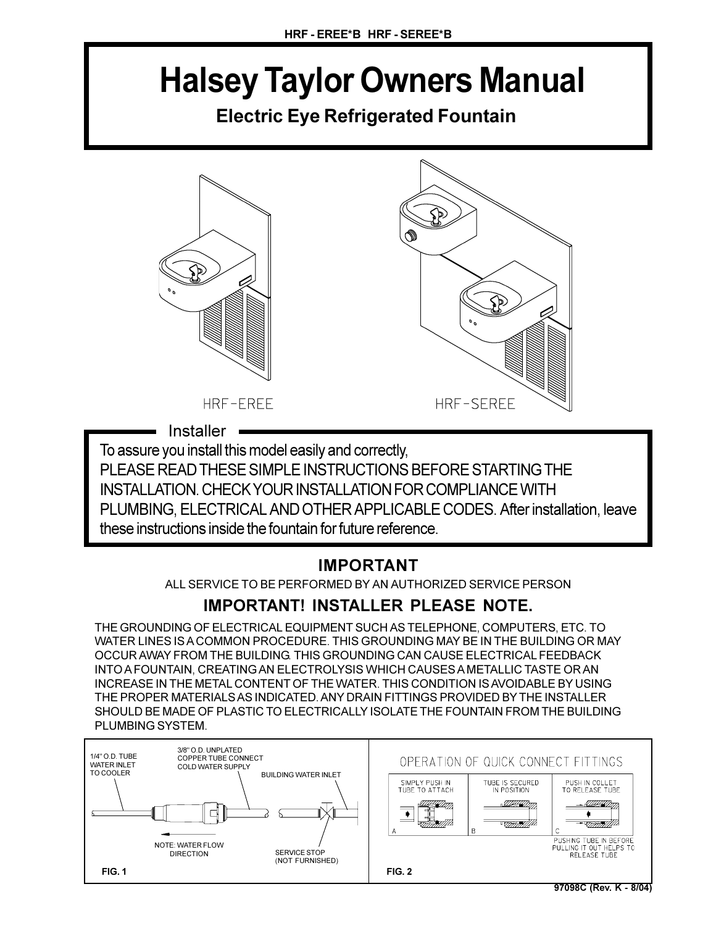# **Halsey Taylor Owners Manual**

**Electric Eye Refrigerated Fountain**



**Installer** 

To assure you install this model easily and correctly,

PLEASE READ THESE SIMPLE INSTRUCTIONS BEFORE STARTING THE INSTALLATION. CHECK YOUR INSTALLATION FOR COMPLIANCE WITH PLUMBING, ELECTRICAL AND OTHER APPLICABLE CODES. After installation, leave these instructions inside the fountain for future reference.

## **IMPORTANT**

ALL SERVICE TO BE PERFORMED BY AN AUTHORIZED SERVICE PERSON

## **IMPORTANT! INSTALLER PLEASE NOTE.**

THE GROUNDING OF ELECTRICAL EQUIPMENT SUCH AS TELEPHONE, COMPUTERS, ETC. TO WATER LINES IS A COMMON PROCEDURE. THIS GROUNDING MAY BE IN THE BUILDING OR MAY OCCUR AWAY FROM THE BUILDING. THIS GROUNDING CAN CAUSE ELECTRICAL FEEDBACK INTO A FOUNTAIN, CREATING AN ELECTROLYSIS WHICH CAUSES A METALLIC TASTE OR AN INCREASE IN THE METAL CONTENT OF THE WATER. THIS CONDITION IS AVOIDABLE BY USING THE PROPER MATERIALS AS INDICATED. ANY DRAIN FITTINGS PROVIDED BY THE INSTALLER SHOULD BE MADE OF PLASTIC TO ELECTRICALLY ISOLATE THE FOUNTAIN FROM THE BUILDING PLUMBING SYSTEM.

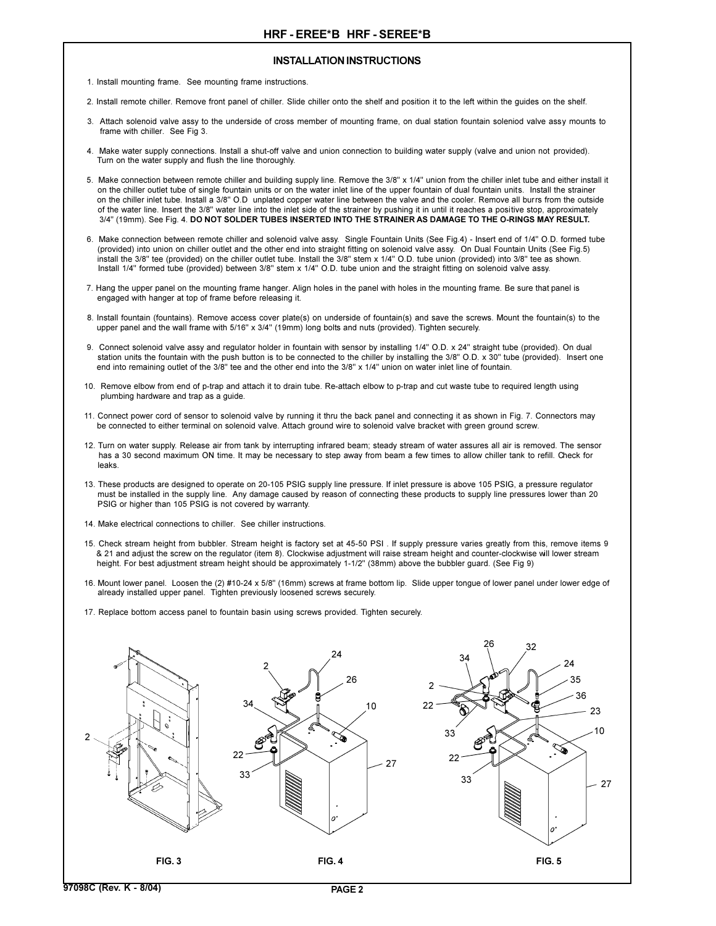#### **INSTALLATION INSTRUCTIONS**

- 1. Install mounting frame. See mounting frame instructions.
- 2. Install remote chiller. Remove front panel of chiller. Slide chiller onto the shelf and position it to the left within the guides on the shelf.
- 3. Attach solenoid valve assy to the underside of cross member of mounting frame, on dual station fountain soleniod valve assy mounts to frame with chiller. See Fig 3.
- 4. Make water supply connections. Install a shut-off valve and union connection to building water supply (valve and union not provided). Turn on the water supply and flush the line thoroughly.
- 5. Make connection between remote chiller and building supply line. Remove the 3/8" x 1/4" union from the chiller inlet tube and either install it on the chiller outlet tube of single fountain units or on the water inlet line of the upper fountain of dual fountain units. Install the strainer on the chiller inlet tube. Install a 3/8" O.D unplated copper water line between the valve and the cooler. Remove all burrs from the outside of the water line. Insert the 3/8" water line into the inlet side of the strainer by pushing it in until it reaches a positive stop, approximately 3/4" (19mm). See Fig. 4. **DO NOT SOLDER TUBES INSERTED INTO THE STRAINER AS DAMAGE TO THE O-RINGS MAY RESULT.**
- 6. Make connection between remote chiller and solenoid valve assy. Single Fountain Units (See Fig.4) Insert end of 1/4" O.D. formed tube (provided) into union on chiller outlet and the other end into straight fitting on solenoid valve assy. On Dual Fountain Units (See Fig.5) install the 3/8" tee (provided) on the chiller outlet tube. Install the 3/8" stem x 1/4" O.D. tube union (provided) into 3/8" tee as shown. Install 1/4" formed tube (provided) between 3/8" stem x 1/4" O.D. tube union and the straight fitting on solenoid valve assy.
- 7. Hang the upper panel on the mounting frame hanger. Align holes in the panel with holes in the mounting frame. Be sure that panel is engaged with hanger at top of frame before releasing it.
- 8. Install fountain (fountains). Remove access cover plate(s) on underside of fountain(s) and save the screws. Mount the fountain(s) to the upper panel and the wall frame with 5/16" x 3/4" (19mm) long bolts and nuts (provided). Tighten securely.
- 9. Connect solenoid valve assy and regulator holder in fountain with sensor by installing 1/4" O.D. x 24" straight tube (provided). On dual station units the fountain with the push button is to be connected to the chiller by installing the 3/8" O.D. x 30" tube (provided). Insert one end into remaining outlet of the 3/8" tee and the other end into the 3/8" x 1/4" union on water inlet line of fountain.
- 10. Remove elbow from end of p-trap and attach it to drain tube. Re-attach elbow to p-trap and cut waste tube to required length using plumbing hardware and trap as a guide.
- 11. Connect power cord of sensor to solenoid valve by running it thru the back panel and connecting it as shown in Fig. 7. Connectors may be connected to either terminal on solenoid valve. Attach ground wire to solenoid valve bracket with green ground screw.
- 12. Turn on water supply. Release air from tank by interrupting infrared beam; steady stream of water assures all air is removed. The sensor has a 30 second maximum ON time. It may be necessary to step away from beam a few times to allow chiller tank to refill. Check for leaks.
- 13. These products are designed to operate on 20-105 PSIG supply line pressure. If inlet pressure is above 105 PSIG, a pressure regulator must be installed in the supply line. Any damage caused by reason of connecting these products to supply line pressures lower than 20 PSIG or higher than 105 PSIG is not covered by warranty.
- 14. Make electrical connections to chiller. See chiller instructions.
- 15. Check stream height from bubbler. Stream height is factory set at 45-50 PSI . If supply pressure varies greatly from this, remove items 9 & 21 and adjust the screw on the regulator (item 8). Clockwise adjustment will raise stream height and counter-clockwise will lower stream height. For best adjustment stream height should be approximately 1-1/2" (38mm) above the bubbler guard. (See Fig 9)
- 16. Mount lower panel. Loosen the (2) #10-24 x 5/8" (16mm) screws at frame bottom lip. Slide upper tongue of lower panel under lower edge of already installed upper panel. Tighten previously loosened screws securely.
- 17. Replace bottom access panel to fountain basin using screws provided. Tighten securely.

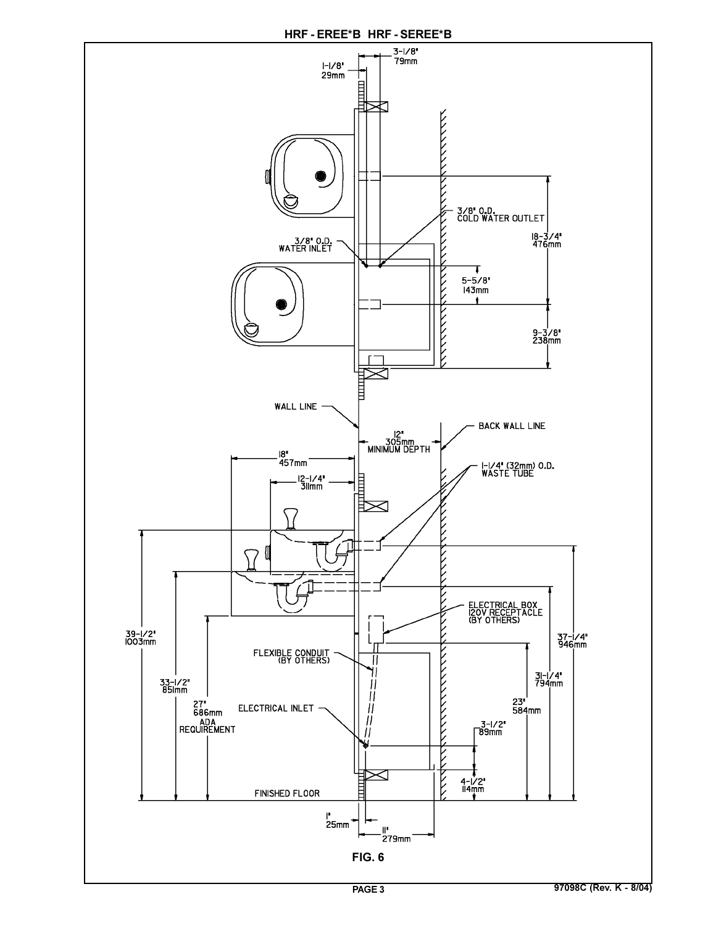